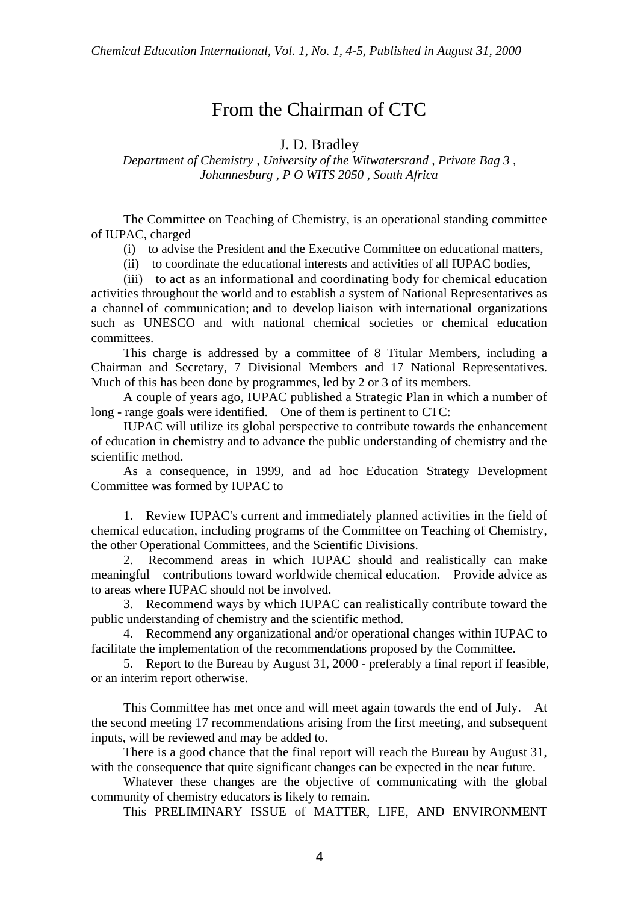## From the Chairman of CTC

J. D. Bradley

*Department of Chemistry , University of the Witwatersrand , Private Bag 3 , Johannesburg , P O WITS 2050 , South Africa*

The Committee on Teaching of Chemistry, is an operational standing committee of IUPAC, charged

(i) to advise the President and the Executive Committee on educational matters,

(ii) to coordinate the educational interests and activities of all IUPAC bodies,

(iii) to act as an informational and coordinating body for chemical education activities throughout the world and to establish a system of National Representatives as a channel of communication; and to develop liaison with international organizations such as UNESCO and with national chemical societies or chemical education committees.

This charge is addressed by a committee of 8 Titular Members, including a Chairman and Secretary, 7 Divisional Members and 17 National Representatives. Much of this has been done by programmes, led by 2 or 3 of its members.

A couple of years ago, IUPAC published a Strategic Plan in which a number of long - range goals were identified. One of them is pertinent to CTC:

IUPAC will utilize its global perspective to contribute towards the enhancement of education in chemistry and to advance the public understanding of chemistry and the scientific method.

As a consequence, in 1999, and ad hoc Education Strategy Development Committee was formed by IUPAC to

1. Review IUPAC's current and immediately planned activities in the field of chemical education, including programs of the Committee on Teaching of Chemistry, the other Operational Committees, and the Scientific Divisions.

2. Recommend areas in which IUPAC should and realistically can make meaningful contributions toward worldwide chemical education. Provide advice as to areas where IUPAC should not be involved.

3. Recommend ways by which IUPAC can realistically contribute toward the public understanding of chemistry and the scientific method.

4. Recommend any organizational and/or operational changes within IUPAC to facilitate the implementation of the recommendations proposed by the Committee.

5. Report to the Bureau by August 31, 2000 - preferably a final report if feasible, or an interim report otherwise.

This Committee has met once and will meet again towards the end of July. At the second meeting 17 recommendations arising from the first meeting, and subsequent inputs, will be reviewed and may be added to.

There is a good chance that the final report will reach the Bureau by August 31, with the consequence that quite significant changes can be expected in the near future.

Whatever these changes are the objective of communicating with the global community of chemistry educators is likely to remain.

This PRELIMINARY ISSUE of MATTER, LIFE, AND ENVIRONMENT